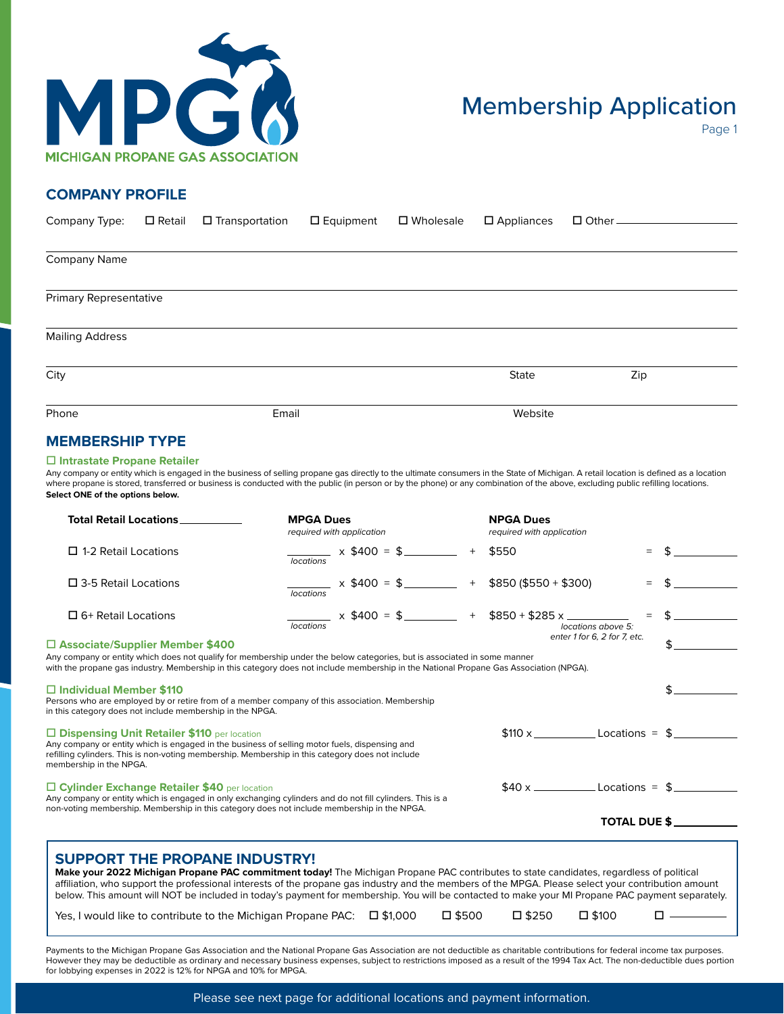

## Membership Application

Page 1

## **COMPANY PROFILE**

| Company Type:                 | $\square$ Retail | $\square$ Transportation | $\square$ Equipment | □ Wholesale | $\square$ Appliances | $\Box$ Other — |     |  |
|-------------------------------|------------------|--------------------------|---------------------|-------------|----------------------|----------------|-----|--|
|                               |                  |                          |                     |             |                      |                |     |  |
| Company Name                  |                  |                          |                     |             |                      |                |     |  |
| <b>Primary Representative</b> |                  |                          |                     |             |                      |                |     |  |
| <b>Mailing Address</b>        |                  |                          |                     |             |                      |                |     |  |
| City                          |                  |                          |                     |             | <b>State</b>         |                | Zip |  |
| Phone                         |                  | Email                    |                     |             | Website              |                |     |  |
| <b>MEMBERSHIP TYPE</b>        |                  |                          |                     |             |                      |                |     |  |

## □ Intrastate Propane Retailer

Any company or entity which is engaged in the business of selling propane gas directly to the ultimate consumers in the State of Michigan. A retail location is defined as a location where propane is stored, transferred or business is conducted with the public (in person or by the phone) or any combination of the above, excluding public refilling locations. **Select ONE of the options below.**

| Total Retail Locations <b>The State State</b>                                                                                                                                                                                                                                                                                                                                                                                                                                                                                                                             | <b>MPGA Dues</b><br>required with application |         | <b>NPGA Dues</b><br>required with application |                              |  |
|---------------------------------------------------------------------------------------------------------------------------------------------------------------------------------------------------------------------------------------------------------------------------------------------------------------------------------------------------------------------------------------------------------------------------------------------------------------------------------------------------------------------------------------------------------------------------|-----------------------------------------------|---------|-----------------------------------------------|------------------------------|--|
| $\Box$ 1-2 Retail Locations                                                                                                                                                                                                                                                                                                                                                                                                                                                                                                                                               | $x$ \$400 = \$<br>locations                   | $+$     | \$550                                         | $=$                          |  |
| $\square$ 3-5 Retail Locations                                                                                                                                                                                                                                                                                                                                                                                                                                                                                                                                            | $\frac{1}{2}$ x \$400 = \$<br>locations       |         | $+$ \$850 (\$550 + \$300)                     | $=$                          |  |
| $\Box$ 6+ Retail Locations                                                                                                                                                                                                                                                                                                                                                                                                                                                                                                                                                | $x $400 = $$<br><b>Incations</b>              |         | $+$ \$850 + \$285 x _____                     | locations above 5:           |  |
| $\square$ Associate/Supplier Member \$400<br>Any company or entity which does not qualify for membership under the below categories, but is associated in some manner<br>with the propane gas industry. Membership in this category does not include membership in the National Propane Gas Association (NPGA).                                                                                                                                                                                                                                                           |                                               |         |                                               | enter 1 for 6, 2 for 7, etc. |  |
| $\Box$ Individual Member \$110<br>Persons who are employed by or retire from of a member company of this association. Membership<br>in this category does not include membership in the NPGA.                                                                                                                                                                                                                                                                                                                                                                             |                                               |         |                                               |                              |  |
| □ Dispensing Unit Retailer \$110 per location<br>Any company or entity which is engaged in the business of selling motor fuels, dispensing and<br>refilling cylinders. This is non-voting membership. Membership in this category does not include<br>membership in the NPGA.                                                                                                                                                                                                                                                                                             |                                               |         | $$110 x$ Locations = $$$                      |                              |  |
| □ Cylinder Exchange Retailer \$40 per location<br>Any company or entity which is engaged in only exchanging cylinders and do not fill cylinders. This is a                                                                                                                                                                                                                                                                                                                                                                                                                |                                               |         |                                               |                              |  |
| non-voting membership. Membership in this category does not include membership in the NPGA.                                                                                                                                                                                                                                                                                                                                                                                                                                                                               |                                               |         |                                               | <b>TOTAL DUE \$</b>          |  |
| <b>SUPPORT THE PROPANE INDUSTRY!</b><br>Make your 2022 Michigan Propane PAC commitment today! The Michigan Propane PAC contributes to state candidates, regardless of political<br>affiliation, who support the professional interests of the propane gas industry and the members of the MPGA. Please select your contribution amount<br>below. This amount will NOT be included in today's payment for membership. You will be contacted to make your MI Propane PAC payment separately.<br>Yes, I would like to contribute to the Michigan Propane PAC: $\Box$ \$1,000 |                                               | □ \$500 | □ \$250                                       | $\square$ \$100              |  |
| Payments to the Michigan Propane Gas Association and the National Propane Gas Association are not deductible as charitable contributions for federal income tax purposes.<br>However they may be deductible as ordinary and necessary business expenses, subject to restrictions imposed as a result of the 1994 Tax Act. The non-deductible dues portion                                                                                                                                                                                                                 |                                               |         |                                               |                              |  |

for lobbying expenses in 2022 is 12% for NPGA and 10% for MPGA.